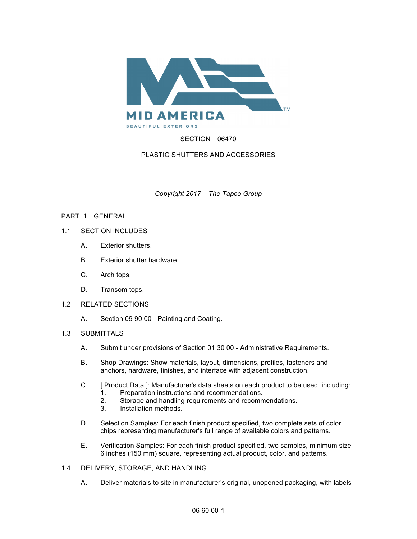

# SECTION 06470

## PLASTIC SHUTTERS AND ACCESSORIES

*Copyright 2017 – The Tapco Group*

## PART 1 GENERAL

- 1.1 SECTION INCLUDES
	- A. Exterior shutters.
	- B. Exterior shutter hardware.
	- C. Arch tops.
	- D. Transom tops.
- 1.2 RELATED SECTIONS
	- A. Section 09 90 00 Painting and Coating.

## 1.3 SUBMITTALS

- A. Submit under provisions of Section 01 30 00 Administrative Requirements.
- B. Shop Drawings: Show materials, layout, dimensions, profiles, fasteners and anchors, hardware, finishes, and interface with adjacent construction.
- C. [ Product Data ]: Manufacturer's data sheets on each product to be used, including:
	- 1. Preparation instructions and recommendations.
	- 2. Storage and handling requirements and recommendations.<br>3. Installation methods.
	- Installation methods.
- D. Selection Samples: For each finish product specified, two complete sets of color chips representing manufacturer's full range of available colors and patterns.
- E. Verification Samples: For each finish product specified, two samples, minimum size 6 inches (150 mm) square, representing actual product, color, and patterns.
- 1.4 DELIVERY, STORAGE, AND HANDLING
	- A. Deliver materials to site in manufacturer's original, unopened packaging, with labels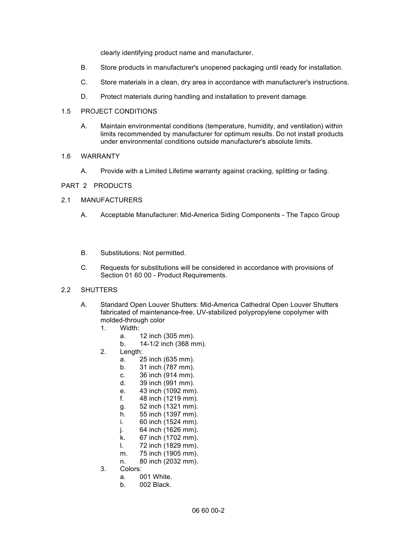clearly identifying product name and manufacturer.

- B. Store products in manufacturer's unopened packaging until ready for installation.
- C. Store materials in a clean, dry area in accordance with manufacturer's instructions.
- D. Protect materials during handling and installation to prevent damage.

#### 1.5 PROJECT CONDITIONS

A. Maintain environmental conditions (temperature, humidity, and ventilation) within limits recommended by manufacturer for optimum results. Do not install products under environmental conditions outside manufacturer's absolute limits.

#### 1.6 WARRANTY

A. Provide with a Limited Lifetime warranty against cracking, splitting or fading.

#### PART 2 PRODUCTS

#### 2.1 MANUFACTURERS

- A. Acceptable Manufacturer: Mid-America Siding Components The Tapco Group
- B. Substitutions: Not permitted.
- C. Requests for substitutions will be considered in accordance with provisions of Section 01 60 00 - Product Requirements.

## 2.2 SHUTTERS

- A. Standard Open Louver Shutters: Mid-America Cathedral Open Louver Shutters fabricated of maintenance-free, UV-stabilized polypropylene copolymer with molded-through color
	- 1. Width:
		- a. 12 inch (305 mm).
		- b. 14-1/2 inch (368 mm).
	- 2. Length:
		- a. 25 inch (635 mm).
		- b. 31 inch (787 mm).
		- c. 36 inch (914 mm).
		- d. 39 inch (991 mm).
		- e. 43 inch (1092 mm).
		- f. 48 inch (1219 mm).
		- g. 52 inch (1321 mm).
		- h. 55 inch (1397 mm).
		- i. 60 inch (1524 mm).
		- j. 64 inch (1626 mm).
		- k. 67 inch (1702 mm).
		- l. 72 inch (1829 mm).
		- m. 75 inch (1905 mm).
		- n. 80 inch (2032 mm).
	- 3. Colors:
		- a. 001 White.
		- b. 002 Black.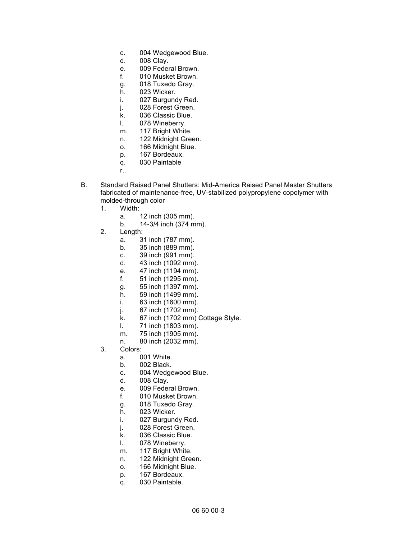- c. 004 Wedgewood Blue.
- d. 008 Clay.
- e. 009 Federal Brown.
- f. 010 Musket Brown.
- g. 018 Tuxedo Gray.
- h. 023 Wicker.
- i. 027 Burgundy Red.
- j. 028 Forest Green.
- k. 036 Classic Blue.
- l. 078 Wineberry.
- m. 117 Bright White.
- n. 122 Midnight Green.
- o. 166 Midnight Blue.
- p. 167 Bordeaux.
- q. 030 Paintable
- r..
- B. Standard Raised Panel Shutters: Mid-America Raised Panel Master Shutters fabricated of maintenance-free, UV-stabilized polypropylene copolymer with molded-through color
	- 1. Width:
		- a. 12 inch (305 mm).
		- b. 14-3/4 inch (374 mm).
	- 2. Length:
		- a. 31 inch (787 mm).
		- b. 35 inch (889 mm).
		- c. 39 inch (991 mm).
		- d. 43 inch (1092 mm).
		- e. 47 inch (1194 mm).
		- f. 51 inch (1295 mm).
		- g. 55 inch (1397 mm).
		- h. 59 inch (1499 mm).
		- i. 63 inch (1600 mm).
		- j. 67 inch (1702 mm).
		- k. 67 inch (1702 mm) Cottage Style.
		- l. 71 inch (1803 mm).
		- m. 75 inch (1905 mm).
		- n. 80 inch (2032 mm).
	- 3. Colors:
		- a. 001 White.
		- b. 002 Black.
		- c. 004 Wedgewood Blue.
		- d. 008 Clay.
		- e. 009 Federal Brown.
		- f. 010 Musket Brown.
		- g. 018 Tuxedo Gray.
		- h. 023 Wicker.
		- i. 027 Burgundy Red.
		- j. 028 Forest Green.
		- k. 036 Classic Blue.
		- l. 078 Wineberry.
		- m. 117 Bright White.
		- n. 122 Midnight Green.
		- o. 166 Midnight Blue.
		- p. 167 Bordeaux.
		- q. 030 Paintable.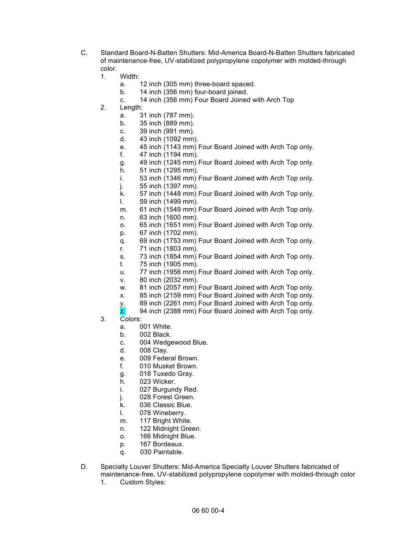- C. Standard Board-N-Batten Shutters: Mid-America Board-N-Batten Shutters fabricated of maintenance-free, UV-stabilized polypropylene copolymer with molded-through color.
	- 1. Width:
		- a. 12 inch (305 mm) three-board spaced.
		- b. 14 inch (356 mm) four-board joined.
		- c. 14 inch (356 mm) Four Board Joined with Arch Top
	- 2. Length:
		- a. 31 inch (787 mm).
		- b. 35 inch (889 mm).
		- c. 39 inch (991 mm).
		- d. 43 inch (1092 mm).
		- e. 45 inch (1143 mm) Four Board Joined with Arch Top only.
		- f. 47 inch (1194 mm).
		- g. 49 inch (1245 mm) Four Board Joined with Arch Top only.
		- h. 51 inch (1295 mm).
		- i. 53 inch (1346 mm) Four Board Joined with Arch Top only.
		- j. 55 inch (1397 mm).
		- k. 57 inch (1448 mm) Four Board Joined with Arch Top only.
		- l. 59 inch (1499 mm).
		- m. 61 inch (1549 mm) Four Board Joined with Arch Top only.
		- n. 63 inch (1600 mm).
		- o. 65 inch (1651 mm) Four Board Joined with Arch Top only.
		- p. 67 inch (1702 mm).
		- q. 69 inch (1753 mm) Four Board Joined with Arch Top only.
		- r. 71 inch (1803 mm).
		- s. 73 inch (1854 mm) Four Board Joined with Arch Top only.
		- t. 75 inch (1905 mm).
		- u. 77 inch (1956 mm) Four Board Joined with Arch Top only.
		- v. 80 inch (2032 mm).
		- w. 81 inch (2057 mm) Four Board Joined with Arch Top only.
		- x. 85 inch (2159 mm) Four Board Joined with Arch Top only.
		- y. 89 inch (2261 mm) Four Board Joined with Arch Top only.
		- $\overline{z}$ . 94 inch (2388 mm) Four Board Joined with Arch Top only.
	- 3. Colors:
		- a. 001 White.
		- b. 002 Black.
		- c. 004 Wedgewood Blue.
		- d. 008 Clay.
		- e. 009 Federal Brown.
		- f. 010 Musket Brown.
		- g. 018 Tuxedo Gray.
		- h. 023 Wicker.
		- i. 027 Burgundy Red.
		- j. 028 Forest Green.
		- k. 036 Classic Blue.
		- l. 078 Wineberry.
		- m. 117 Bright White.
		- n. 122 Midnight Green.
		- o. 166 Midnight Blue.
		- p. 167 Bordeaux.
		- q. 030 Paintable.
- D. Specialty Louver Shutters: Mid-America Specialty Louver Shutters fabricated of maintenance-free, UV-stabilized polypropylene copolymer with molded-through color
	- 1. Custom Styles: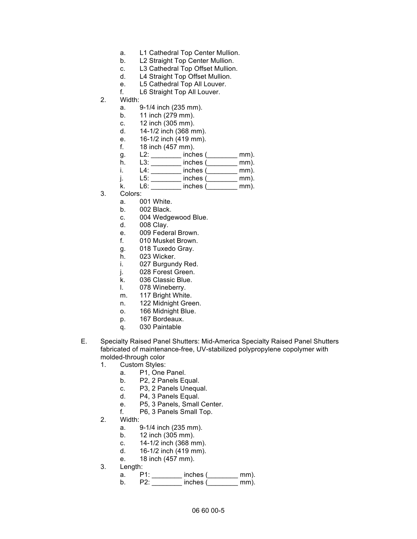- a. L1 Cathedral Top Center Mullion.
- b. L2 Straight Top Center Mullion.
- c. L3 Cathedral Top Offset Mullion.
- d. L4 Straight Top Offset Mullion.
- e. L5 Cathedral Top All Louver.
- f. L6 Straight Top All Louver.
- 2. Width:
	- a. 9-1/4 inch (235 mm).
	- b. 11 inch (279 mm).
	- c. 12 inch (305 mm).
	- d. 14-1/2 inch (368 mm).
	- e. 16-1/2 inch (419 mm).<br>f. 18 inch (457 mm).
	- 18 inch (457 mm).
	- g. L2: \_\_\_\_\_\_\_\_ inches (\_\_\_\_\_\_\_\_ mm).
	- h. L3: \_\_\_\_\_\_\_\_ inches (\_\_\_\_\_\_\_\_ mm).
	- i. L4: \_\_\_\_\_\_\_\_ inches (\_\_\_\_\_\_\_\_ mm).
	- j. L5: \_\_\_\_\_\_\_\_ inches (\_\_\_\_\_\_\_\_ mm).
	- k. L6: \_\_\_\_\_\_\_\_ inches (\_\_\_\_\_\_\_\_ mm).
- 3. Colors:
	- a. 001 White.
	- b. 002 Black.
	- c. 004 Wedgewood Blue.
	- d. 008 Clay.
	- e. 009 Federal Brown.
	- f. 010 Musket Brown.
	- g. 018 Tuxedo Gray.
	- h. 023 Wicker.
	- i. 027 Burgundy Red.
	- j. 028 Forest Green.
	- k. 036 Classic Blue.
	- l. 078 Wineberry.
	- m. 117 Bright White.
	- n. 122 Midnight Green.
	- o. 166 Midnight Blue.
	- p. 167 Bordeaux.
	- q. 030 Paintable
- E. Specialty Raised Panel Shutters: Mid-America Specialty Raised Panel Shutters fabricated of maintenance-free, UV-stabilized polypropylene copolymer with molded-through color
	- 1. Custom Styles:
		- a. P1, One Panel.
		- b. P2, 2 Panels Equal.
		- c. P3, 2 Panels Unequal.
		- d. P4, 3 Panels Equal.
		- e. P5, 3 Panels, Small Center.
		- f. P6, 3 Panels Small Top.
	- 2. Width:
		- a. 9-1/4 inch (235 mm).
		- b. 12 inch (305 mm).
		- c. 14-1/2 inch (368 mm).
		- d. 16-1/2 inch (419 mm).
		- e. 18 inch (457 mm).
	- 3. Length:
		- a. P1: \_\_\_\_\_\_\_\_ inches (\_\_\_\_\_\_\_\_ mm).
		- b. P2: \_\_\_\_\_\_\_\_ inches (\_\_\_\_\_\_\_\_ mm).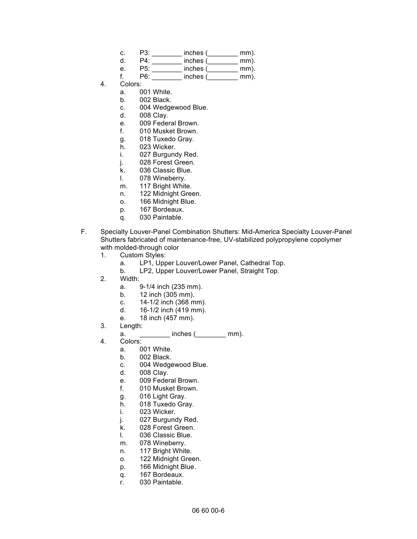| C. | P3: | inches ( | mm). |
|----|-----|----------|------|
| d  | P4: | inches ( | mm). |
| е. | P5: | inches ( | mm). |
|    |     |          |      |

- f. P6: inches ( mm).
- 4. Colors:
	- a. 001 White.
	- b. 002 Black.
	- c. 004 Wedgewood Blue.
	- d. 008 Clay.
	- e. 009 Federal Brown.
	- f. 010 Musket Brown.
	- g. 018 Tuxedo Gray.
	- h. 023 Wicker.
	- i. 027 Burgundy Red.
	- j. 028 Forest Green.
	- k. 036 Classic Blue.
	- l. 078 Wineberry.
	- m. 117 Bright White.
	- n. 122 Midnight Green.
	- o. 166 Midnight Blue.
	- p. 167 Bordeaux.
	- q. 030 Paintable.
- F. Specialty Louver-Panel Combination Shutters: Mid-America Specialty Louver-Panel Shutters fabricated of maintenance-free, UV-stabilized polypropylene copolymer with molded-through color
	- 1. Custom Styles:
		- a. LP1, Upper Louver/Lower Panel, Cathedral Top.
		- b. LP2, Upper Louver/Lower Panel, Straight Top.
	- 2. Width:
		- a. 9-1/4 inch (235 mm).
		- b. 12 inch (305 mm).
		- c. 14-1/2 inch (368 mm).
		- d. 16-1/2 inch (419 mm).
		- e. 18 inch (457 mm).
	- 3. Length:
		- $a.$  inches (  $mm)$ .
	- 4. Colors:
		- a. 001 White.
		- b. 002 Black.
		- c. 004 Wedgewood Blue.
		- d. 008 Clay.
		- e. 009 Federal Brown.
		- f. 010 Musket Brown.
		- g. 016 Light Gray.
		- h. 018 Tuxedo Gray.
		- i. 023 Wicker.
		- j. 027 Burgundy Red.
		- k. 028 Forest Green.
		- l. 036 Classic Blue.
		- m. 078 Wineberry.
		- n. 117 Bright White.
		- o. 122 Midnight Green.
		- p. 166 Midnight Blue.
		- q. 167 Bordeaux.
		- r. 030 Paintable.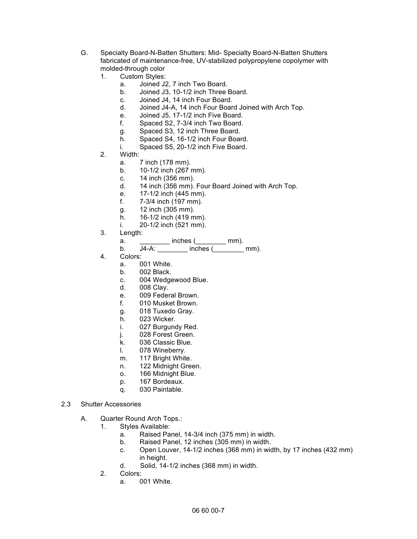- G. Specialty Board-N-Batten Shutters: Mid- Specialty Board-N-Batten Shutters fabricated of maintenance-free, UV-stabilized polypropylene copolymer with molded-through color
	- 1. Custom Styles:
		- a. Joined J2, 7 inch Two Board.
		- b. Joined J3, 10-1/2 inch Three Board.
		- c. Joined J4, 14 inch Four Board.
		- d. Joined J4-A, 14 inch Four Board Joined with Arch Top.
		- e. Joined J5, 17-1/2 inch Five Board.
		- f. Spaced S2, 7-3/4 inch Two Board.
		- g. Spaced S3, 12 inch Three Board.
		- h. Spaced S4, 16-1/2 inch Four Board.
		- i. Spaced S5, 20-1/2 inch Five Board.
	- 2. Width:
		- a. 7 inch (178 mm).
		- b. 10-1/2 inch (267 mm).
		- c. 14 inch (356 mm).
		- d. 14 inch (356 mm). Four Board Joined with Arch Top.
		- e. 17-1/2 inch (445 mm).
		- f. 7-3/4 inch (197 mm).
		- g. 12 inch (305 mm).
		- h. 16-1/2 inch (419 mm).
		- i. 20-1/2 inch (521 mm).
	- 3. Length:
		- a. \_\_\_\_\_\_\_\_\_\_ inches (\_\_\_\_\_\_\_ mm).
			- b. J4-A: \_\_\_\_\_\_\_\_ inches (\_\_\_\_\_\_\_\_ mm).
	- 4. Colors:
		- a. 001 White.
		- b. 002 Black.
		- c. 004 Wedgewood Blue.
		- d. 008 Clay.
		- e. 009 Federal Brown.
		- f. 010 Musket Brown.
		- g. 018 Tuxedo Gray.
		- h. 023 Wicker.
		- i. 027 Burgundy Red.
		- j. 028 Forest Green.
		- k. 036 Classic Blue.
		- l. 078 Wineberry.
		- m. 117 Bright White.
		- n. 122 Midnight Green.
		- o. 166 Midnight Blue.
		- p. 167 Bordeaux.
		- q. 030 Paintable.
- 2.3 Shutter Accessories
	- A. Quarter Round Arch Tops.:
		- 1. Styles Available:
			- a. Raised Panel, 14-3/4 inch (375 mm) in width.
			- b. Raised Panel, 12 inches (305 mm) in width.
			- c. Open Louver, 14-1/2 inches (368 mm) in width, by 17 inches (432 mm) in height.
			- d. Solid, 14-1/2 inches (368 mm) in width.
		- 2. Colors:
			- a. 001 White.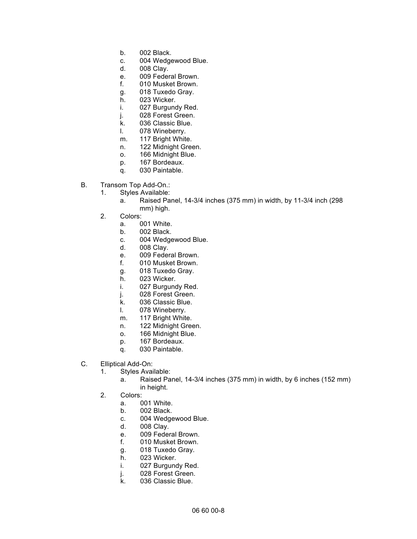- b. 002 Black.
- c. 004 Wedgewood Blue.
- d. 008 Clay.
- e. 009 Federal Brown.
- f. 010 Musket Brown.
- g. 018 Tuxedo Gray.
- h. 023 Wicker.
- i. 027 Burgundy Red.
- j. 028 Forest Green.
- k. 036 Classic Blue.
- l. 078 Wineberry.
- m. 117 Bright White.
- n. 122 Midnight Green.
- o. 166 Midnight Blue.
- p. 167 Bordeaux.
- q. 030 Paintable.
- B. Transom Top Add-On.:
	- 1. Styles Available:
		- a. Raised Panel, 14-3/4 inches (375 mm) in width, by 11-3/4 inch (298 mm) high.
	- 2. Colors:
		- a. 001 White.
		- b. 002 Black.
		- c. 004 Wedgewood Blue.
		- d. 008 Clay.
		- e. 009 Federal Brown.
		- f. 010 Musket Brown.
		- g. 018 Tuxedo Gray.
		- h. 023 Wicker.
		- i. 027 Burgundy Red.
		- j. 028 Forest Green.
		- k. 036 Classic Blue.
		- l. 078 Wineberry.
		- m. 117 Bright White.
		- n. 122 Midnight Green.
		- o. 166 Midnight Blue.
		- p. 167 Bordeaux.
		- q. 030 Paintable.
- C. Elliptical Add-On:
	- 1. Styles Available:
		- a. Raised Panel, 14-3/4 inches (375 mm) in width, by 6 inches (152 mm) in height.
	- 2. Colors:
		- a. 001 White.
		- b. 002 Black.
		- c. 004 Wedgewood Blue.
		- d. 008 Clay.
		- e. 009 Federal Brown.
		- f. 010 Musket Brown.
		- g. 018 Tuxedo Gray.
		- h. 023 Wicker.
		- i. 027 Burgundy Red.
		- j. 028 Forest Green.
		- k. 036 Classic Blue.